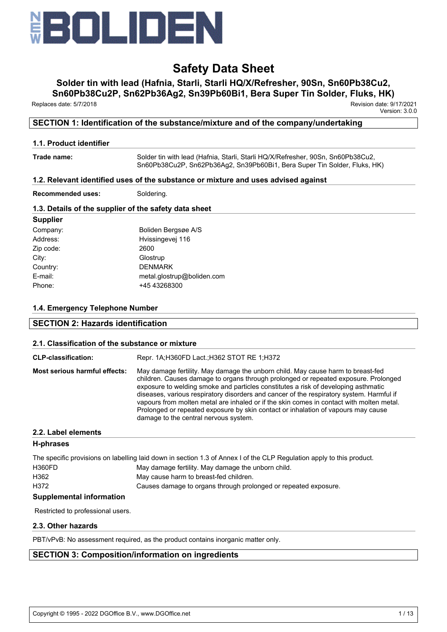

# **Solder tin with lead (Hafnia, Starli, Starli HQ/X/Refresher, 90Sn, Sn60Pb38Cu2,**

**Sn60Pb38Cu2P, Sn62Pb36Ag2, Sn39Pb60Bi1, Bera Super Tin Solder, Fluks, HK)**

Replaces date: 5/7/2018 Revision date: 9/17/2021

Version: 3.0.0

## **SECTION 1: Identification of the substance/mixture and of the company/undertaking**

## **1.1. Product identifier**

**Trade name:** Solder tin with lead (Hafnia, Starli, Starli HQ/X/Refresher, 90Sn, Sn60Pb38Cu2, Sn60Pb38Cu2P, Sn62Pb36Ag2, Sn39Pb60Bi1, Bera Super Tin Solder, Fluks, HK)

## **1.2. Relevant identified uses of the substance or mixture and uses advised against**

**Recommended uses:** Soldering.

## **1.3. Details of the supplier of the safety data sheet**

| <b>Supplier</b> |                            |
|-----------------|----------------------------|
| Company:        | Boliden Bergsøe A/S        |
| Address:        | Hvissingevej 116           |
| Zip code:       | 2600                       |
| City:           | Glostrup                   |
| Country:        | <b>DENMARK</b>             |
| E-mail:         | metal.glostrup@boliden.com |
| Phone:          | +45 43268300               |
|                 |                            |

## **1.4. Emergency Telephone Number**

## **SECTION 2: Hazards identification**

## **2.1. Classification of the substance or mixture**

| <b>CLP-classification:</b>           | Repr. 1A: H360FD Lact.: H362 STOT RE 1: H372                                                                                                                                                                                                                                                                                                                                                                                                                                                                                                                                       |
|--------------------------------------|------------------------------------------------------------------------------------------------------------------------------------------------------------------------------------------------------------------------------------------------------------------------------------------------------------------------------------------------------------------------------------------------------------------------------------------------------------------------------------------------------------------------------------------------------------------------------------|
| <b>Most serious harmful effects:</b> | May damage fertility. May damage the unborn child. May cause harm to breast-fed<br>children. Causes damage to organs through prolonged or repeated exposure. Prolonged<br>exposure to welding smoke and particles constitutes a risk of developing asthmatic<br>diseases, various respiratory disorders and cancer of the respiratory system. Harmful if<br>vapours from molten metal are inhaled or if the skin comes in contact with molten metal.<br>Prolonged or repeated exposure by skin contact or inhalation of vapours may cause<br>damage to the central nervous system. |

## **2.2. Label elements**

## **H-phrases**

|        | The specific provisions on labelling laid down in section 1.3 of Annex I of the CLP Regulation apply to this product. |
|--------|-----------------------------------------------------------------------------------------------------------------------|
| H360FD | May damage fertility. May damage the unborn child.                                                                    |
| H362   | May cause harm to breast-fed children.                                                                                |
| H372   | Causes damage to organs through prolonged or repeated exposure.                                                       |
|        |                                                                                                                       |

## **Supplemental information**

Restricted to professional users.

## **2.3. Other hazards**

PBT/vPvB: No assessment required, as the product contains inorganic matter only.

# **SECTION 3: Composition/information on ingredients**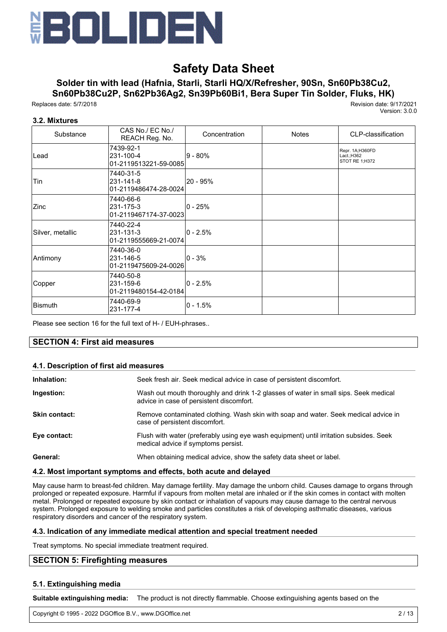

# **Solder tin with lead (Hafnia, Starli, Starli HQ/X/Refresher, 90Sn, Sn60Pb38Cu2,**

**Sn60Pb38Cu2P, Sn62Pb36Ag2, Sn39Pb60Bi1, Bera Super Tin Solder, Fluks, HK)**

Replaces date: 5/7/2018 Revision date: 9/17/2021

Version: 3.0.0

### **3.2. Mixtures**

| Substance        | CAS No./ EC No./<br>REACH Reg. No.              | Concentration | <b>Notes</b> | CLP-classification                               |
|------------------|-------------------------------------------------|---------------|--------------|--------------------------------------------------|
| Lead             | 7439-92-1<br>231-100-4<br>01-2119513221-59-0085 | l9 - 80%      |              | Repr. 1A;H360FD<br>Lact.: H362<br>STOT RE 1;H372 |
| Tin              | 7440-31-5<br>231-141-8<br>01-2119486474-28-0024 | l20 - 95%     |              |                                                  |
| Zinc             | 7440-66-6<br>231-175-3<br>01-2119467174-37-0023 | l0 - 25%      |              |                                                  |
| Silver, metallic | 7440-22-4<br>231-131-3<br>01-2119555669-21-0074 | l0 - 2.5%     |              |                                                  |
| Antimony         | 7440-36-0<br>231-146-5<br>01-2119475609-24-0026 | l0 - 3%       |              |                                                  |
| Copper           | 7440-50-8<br>231-159-6<br>01-2119480154-42-0184 | l0 - 2.5%     |              |                                                  |
| Bismuth          | 7440-69-9<br>231-177-4                          | l0 - 1.5%     |              |                                                  |

Please see section 16 for the full text of H- / EUH-phrases..

### **SECTION 4: First aid measures**

#### **4.1. Description of first aid measures**

| Inhalation:          | Seek fresh air. Seek medical advice in case of persistent discomfort.                                                            |
|----------------------|----------------------------------------------------------------------------------------------------------------------------------|
| Ingestion:           | Wash out mouth thoroughly and drink 1-2 glasses of water in small sips. Seek medical<br>advice in case of persistent discomfort. |
| <b>Skin contact:</b> | Remove contaminated clothing. Wash skin with soap and water. Seek medical advice in<br>case of persistent discomfort.            |
| Eye contact:         | Flush with water (preferably using eye wash equipment) until irritation subsides. Seek<br>medical advice if symptoms persist.    |
| General:             | When obtaining medical advice, show the safety data sheet or label.                                                              |

#### **4.2. Most important symptoms and effects, both acute and delayed**

May cause harm to breast-fed children. May damage fertility. May damage the unborn child. Causes damage to organs through prolonged or repeated exposure. Harmful if vapours from molten metal are inhaled or if the skin comes in contact with molten metal. Prolonged or repeated exposure by skin contact or inhalation of vapours may cause damage to the central nervous system. Prolonged exposure to welding smoke and particles constitutes a risk of developing asthmatic diseases, various respiratory disorders and cancer of the respiratory system.

#### **4.3. Indication of any immediate medical attention and special treatment needed**

Treat symptoms. No special immediate treatment required.

### **SECTION 5: Firefighting measures**

#### **5.1. Extinguishing media**

**Suitable extinguishing media:** The product is not directly flammable. Choose extinguishing agents based on the

surrounding fire. Copyright © 1995 - 2022 DGOffice B.V., www.DGOffice.net 2 / 13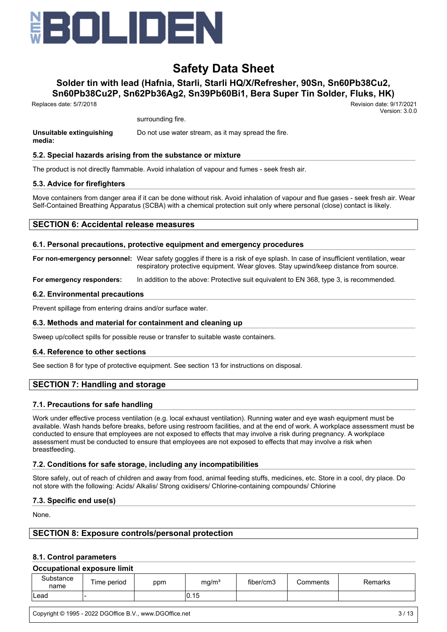

# **Solder tin with lead (Hafnia, Starli, Starli HQ/X/Refresher, 90Sn, Sn60Pb38Cu2,**

**Sn60Pb38Cu2P, Sn62Pb36Ag2, Sn39Pb60Bi1, Bera Super Tin Solder, Fluks, HK)**

Replaces date: 5/7/2018 Revision date: 9/17/2021

surrounding fire.

**Unsuitable extinguishing media:** Do not use water stream, as it may spread the fire.

#### **5.2. Special hazards arising from the substance or mixture**

The product is not directly flammable. Avoid inhalation of vapour and fumes - seek fresh air.

#### **5.3. Advice for firefighters**

Move containers from danger area if it can be done without risk. Avoid inhalation of vapour and flue gases - seek fresh air. Wear Self-Contained Breathing Apparatus (SCBA) with a chemical protection suit only where personal (close) contact is likely.

### **SECTION 6: Accidental release measures**

#### **6.1. Personal precautions, protective equipment and emergency procedures**

**For non-emergency personnel:** Wear safety goggles if there is a risk of eye splash. In case of insufficient ventilation, wear respiratory protective equipment. Wear gloves. Stay upwind/keep distance from source.

**For emergency responders:** In addition to the above: Protective suit equivalent to EN 368, type 3, is recommended.

#### **6.2. Environmental precautions**

Prevent spillage from entering drains and/or surface water.

#### **6.3. Methods and material for containment and cleaning up**

Sweep up/collect spills for possible reuse or transfer to suitable waste containers.

#### **6.4. Reference to other sections**

See section 8 for type of protective equipment. See section 13 for instructions on disposal.

### **SECTION 7: Handling and storage**

#### **7.1. Precautions for safe handling**

Work under effective process ventilation (e.g. local exhaust ventilation). Running water and eye wash equipment must be available. Wash hands before breaks, before using restroom facilities, and at the end of work. A workplace assessment must be conducted to ensure that employees are not exposed to effects that may involve a risk during pregnancy. A workplace assessment must be conducted to ensure that employees are not exposed to effects that may involve a risk when breastfeeding.

#### **7.2. Conditions for safe storage, including any incompatibilities**

Store safely, out of reach of children and away from food, animal feeding stuffs, medicines, etc. Store in a cool, dry place. Do not store with the following: Acids/ Alkalis/ Strong oxidisers/ Chlorine-containing compounds/ Chlorine

#### **7.3. Specific end use(s)**

None.

### **SECTION 8: Exposure controls/personal protection**

#### **8.1. Control parameters**

#### **Occupational exposure limit**

| Substance<br>name | Time period | ppm | mg/m <sup>3</sup> | fiber/cm3 | Comments | Remarks |
|-------------------|-------------|-----|-------------------|-----------|----------|---------|
| Lead              |             |     | 0.15              |           |          |         |

Version: 3.0.0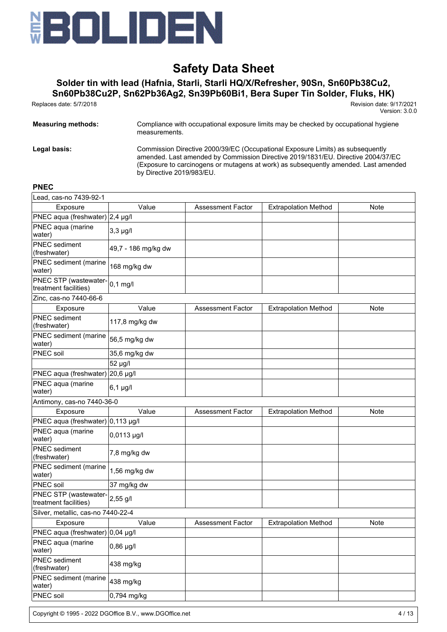

# **Solder tin with lead (Hafnia, Starli, Starli HQ/X/Refresher, 90Sn, Sn60Pb38Cu2,**

**Sn60Pb38Cu2P, Sn62Pb36Ag2, Sn39Pb60Bi1, Bera Super Tin Solder, Fluks, HK)**

Replaces date: 5/7/2018 Revision date: 9/17/2021

Version: 3.0.0

| <b>Measuring methods:</b> | Compliance with occupational exposure limits may be checked by occupational hygiene<br>measurements.                                                                                                                                                                                   |  |  |  |
|---------------------------|----------------------------------------------------------------------------------------------------------------------------------------------------------------------------------------------------------------------------------------------------------------------------------------|--|--|--|
| Legal basis:              | Commission Directive 2000/39/EC (Occupational Exposure Limits) as subsequently<br>amended. Last amended by Commission Directive 2019/1831/EU. Directive 2004/37/EC<br>(Exposure to carcinogens or mutagens at work) as subsequently amended. Last amended<br>by Directive 2019/983/EU. |  |  |  |

# **PNEC**

| Lead, cas-no 7439-92-1                         |                     |                          |                             |             |
|------------------------------------------------|---------------------|--------------------------|-----------------------------|-------------|
| Exposure                                       | Value               | <b>Assessment Factor</b> | <b>Extrapolation Method</b> | Note        |
| PNEC aqua (freshwater) $2,4 \mu$ g/l           |                     |                          |                             |             |
| PNEC aqua (marine<br>water)                    | $3,3$ µg/l          |                          |                             |             |
| <b>PNEC</b> sediment<br>(freshwater)           | 49,7 - 186 mg/kg dw |                          |                             |             |
| PNEC sediment (marine<br>water)                | 168 mg/kg dw        |                          |                             |             |
| PNEC STP (wastewater-<br>treatment facilities) | $0,1$ mg/l          |                          |                             |             |
| Zinc, cas-no 7440-66-6                         |                     |                          |                             |             |
| Exposure                                       | Value               | <b>Assessment Factor</b> | <b>Extrapolation Method</b> | Note        |
| <b>PNEC</b> sediment<br>(freshwater)           | 117,8 mg/kg dw      |                          |                             |             |
| PNEC sediment (marine<br>water)                | 56,5 mg/kg dw       |                          |                             |             |
| PNEC soil                                      | 35,6 mg/kg dw       |                          |                             |             |
|                                                | 52 µg/l             |                          |                             |             |
| PNEC aqua (freshwater) 20,6 µg/l               |                     |                          |                             |             |
| PNEC aqua (marine<br>water)                    | $6,1 \mu g/l$       |                          |                             |             |
| Antimony, cas-no 7440-36-0                     |                     |                          |                             |             |
| Exposure                                       | Value               | <b>Assessment Factor</b> | <b>Extrapolation Method</b> | <b>Note</b> |
| PNEC aqua (freshwater) 0,113 µg/l              |                     |                          |                             |             |
| PNEC aqua (marine<br>water)                    | 0,0113 µg/l         |                          |                             |             |
| PNEC sediment<br>(freshwater)                  | 7,8 mg/kg dw        |                          |                             |             |
| PNEC sediment (marine<br>water)                | 1,56 mg/kg dw       |                          |                             |             |
| PNEC soil                                      | 37 mg/kg dw         |                          |                             |             |
| PNEC STP (wastewater-<br>treatment facilities) | $2,55$ g/l          |                          |                             |             |
| Silver, metallic, cas-no 7440-22-4             |                     |                          |                             |             |
| Exposure                                       | Value               | <b>Assessment Factor</b> | <b>Extrapolation Method</b> | <b>Note</b> |
| PNEC aqua (freshwater) 0,04 µg/l               |                     |                          |                             |             |
| PNEC aqua (marine<br>water)                    | $0,86$ µg/l         |                          |                             |             |
| PNEC sediment<br>(freshwater)                  | 438 mg/kg           |                          |                             |             |
| PNEC sediment (marine<br>water)                | 438 mg/kg           |                          |                             |             |
| PNEC soil                                      | 0,794 mg/kg         |                          |                             |             |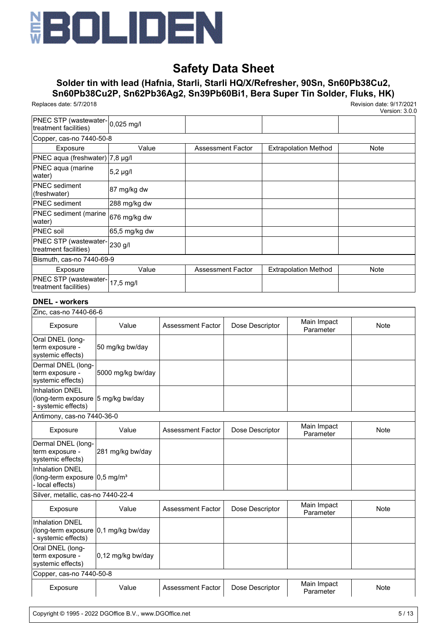

# **Solder tin with lead (Hafnia, Starli, Starli HQ/X/Refresher, 90Sn, Sn60Pb38Cu2, Sn60Pb38Cu2P, Sn62Pb36Ag2, Sn39Pb60Bi1, Bera Super Tin Solder, Fluks, HK)**

Replaces date: 5/7/2018 Revision date: 9/17/2021

Version: 3.0.0

| PNEC STP (wastewater-0,025 mg/l<br>treatment facilities) |               |                          |                             |      |  |  |
|----------------------------------------------------------|---------------|--------------------------|-----------------------------|------|--|--|
| Copper, cas-no 7440-50-8                                 |               |                          |                             |      |  |  |
| Exposure                                                 | Value         | Assessment Factor        | <b>Extrapolation Method</b> | Note |  |  |
| PNEC aqua (freshwater) 7,8 µg/l                          |               |                          |                             |      |  |  |
| PNEC aqua (marine<br>water)                              | 5,2 µg/l      |                          |                             |      |  |  |
| <b>PNEC</b> sediment<br>(freshwater)                     | 87 mg/kg dw   |                          |                             |      |  |  |
| <b>IPNEC</b> sediment                                    | 288 mg/kg dw  |                          |                             |      |  |  |
| <b>PNEC</b> sediment (marine<br>water)                   | 676 mg/kg dw  |                          |                             |      |  |  |
| <b>PNEC</b> soil                                         | 65,5 mg/kg dw |                          |                             |      |  |  |
| PNEC STP (wastewater-230 g/l<br>treatment facilities)    |               |                          |                             |      |  |  |
| Bismuth, cas-no 7440-69-9                                |               |                          |                             |      |  |  |
| Exposure                                                 | Value         | <b>Assessment Factor</b> | <b>Extrapolation Method</b> | Note |  |  |
| PNEC STP (wastewater-17,5 mg/l)<br>treatment facilities) |               |                          |                             |      |  |  |

### **DNEL - workers**

|                                                                                         | Zinc, cas-no 7440-66-6 |                          |                 |                          |             |  |
|-----------------------------------------------------------------------------------------|------------------------|--------------------------|-----------------|--------------------------|-------------|--|
| Exposure                                                                                | Value                  | Assessment Factor        | Dose Descriptor | Main Impact<br>Parameter | <b>Note</b> |  |
| Oral DNEL (long-<br>term exposure -<br>systemic effects)                                | 50 mg/kg bw/day        |                          |                 |                          |             |  |
| Dermal DNEL (long-<br>term exposure -<br>systemic effects)                              | 5000 mg/kg bw/day      |                          |                 |                          |             |  |
| <b>Inhalation DNEL</b><br>(long-term exposure 5 mg/kg bw/day<br>- systemic effects)     |                        |                          |                 |                          |             |  |
| Antimony, cas-no 7440-36-0                                                              |                        |                          |                 |                          |             |  |
| Exposure                                                                                | Value                  | <b>Assessment Factor</b> | Dose Descriptor | Main Impact<br>Parameter | <b>Note</b> |  |
| Dermal DNEL (long-<br>term exposure -<br>systemic effects)                              | 281 mg/kg bw/day       |                          |                 |                          |             |  |
| <b>Inhalation DNEL</b><br>(long-term exposure $ 0,5 \text{ mg/m}^3$<br>- local effects) |                        |                          |                 |                          |             |  |
| Silver, metallic, cas-no 7440-22-4                                                      |                        |                          |                 |                          |             |  |
| Exposure                                                                                | Value                  | <b>Assessment Factor</b> | Dose Descriptor | Main Impact<br>Parameter | <b>Note</b> |  |
| <b>Inhalation DNEL</b><br>(long-term exposure 0,1 mg/kg bw/day<br>- systemic effects)   |                        |                          |                 |                          |             |  |
| Oral DNEL (long-<br>term exposure -<br>systemic effects)                                | 0,12 mg/kg bw/day      |                          |                 |                          |             |  |
| Copper, cas-no 7440-50-8                                                                |                        |                          |                 |                          |             |  |
| Exposure                                                                                | Value                  | <b>Assessment Factor</b> | Dose Descriptor | Main Impact<br>Parameter | Note        |  |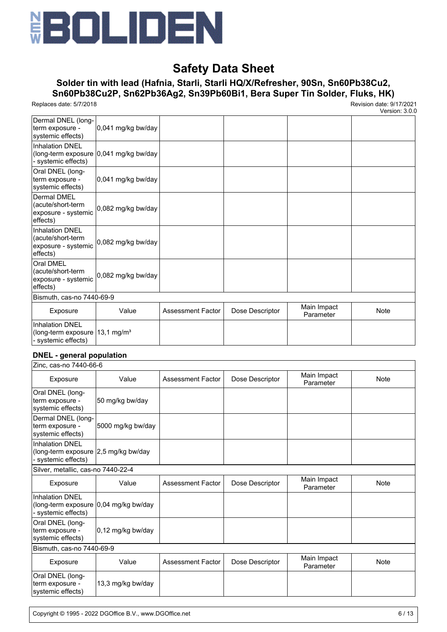

## **Solder tin with lead (Hafnia, Starli, Starli HQ/X/Refresher, 90Sn, Sn60Pb38Cu2, Sn60Pb38Cu2P, Sn62Pb36Ag2, Sn39Pb60Bi1, Bera Super Tin Solder, Fluks, HK)**

Replaces date: 5/7/2018 Revision date: 9/17/2021

Version: 3.0.0

| Dermal DNEL (long-<br>term exposure -<br>systemic effects)       | $0,041$ mg/kg bw/day                   |                          |                 |                          |             |  |
|------------------------------------------------------------------|----------------------------------------|--------------------------|-----------------|--------------------------|-------------|--|
| <b>Inhalation DNEL</b>                                           |                                        |                          |                 |                          |             |  |
| - systemic effects)                                              | (long-term exposure 0,041 mg/kg bw/day |                          |                 |                          |             |  |
| Oral DNEL (long-                                                 |                                        |                          |                 |                          |             |  |
| term exposure -<br>systemic effects)                             | 0,041 mg/kg bw/day                     |                          |                 |                          |             |  |
| <b>Dermal DMEL</b>                                               |                                        |                          |                 |                          |             |  |
| (acute/short-term                                                | 0,082 mg/kg bw/day                     |                          |                 |                          |             |  |
| exposure - systemic<br>effects)                                  |                                        |                          |                 |                          |             |  |
| <b>Inhalation DNEL</b>                                           |                                        |                          |                 |                          |             |  |
| (acute/short-term                                                | 0,082 mg/kg bw/day                     |                          |                 |                          |             |  |
| exposure - systemic                                              |                                        |                          |                 |                          |             |  |
| effects)                                                         |                                        |                          |                 |                          |             |  |
| Oral DMEL<br>(acute/short-term                                   |                                        |                          |                 |                          |             |  |
| exposure - systemic                                              | 0,082 mg/kg bw/day                     |                          |                 |                          |             |  |
| effects)                                                         |                                        |                          |                 |                          |             |  |
| Bismuth, cas-no 7440-69-9                                        |                                        |                          |                 |                          |             |  |
| Exposure                                                         | Value                                  | <b>Assessment Factor</b> | Dose Descriptor | Main Impact<br>Parameter | <b>Note</b> |  |
| <b>Inhalation DNEL</b>                                           |                                        |                          |                 |                          |             |  |
| (long-term exposure $13,1 \text{ mg/m}^3$<br>- systemic effects) |                                        |                          |                 |                          |             |  |

#### **DNEL - general population**

| Zinc, cas-no 7440-66-6                                                                 |                     |                          |                 |                          |      |  |
|----------------------------------------------------------------------------------------|---------------------|--------------------------|-----------------|--------------------------|------|--|
| Exposure                                                                               | Value               | <b>Assessment Factor</b> | Dose Descriptor | Main Impact<br>Parameter | Note |  |
| Oral DNEL (long-<br>term exposure -<br>systemic effects)                               | 50 mg/kg bw/day     |                          |                 |                          |      |  |
| Dermal DNEL (long-<br>term exposure -<br>systemic effects)                             | 5000 mg/kg bw/day   |                          |                 |                          |      |  |
| <b>Inhalation DNEL</b><br>(long-term exposure<br>- systemic effects)                   | 2,5 mg/kg bw/day    |                          |                 |                          |      |  |
| Silver, metallic, cas-no 7440-22-4                                                     |                     |                          |                 |                          |      |  |
| Exposure                                                                               | Value               | <b>Assessment Factor</b> | Dose Descriptor | Main Impact<br>Parameter | Note |  |
| <b>Inhalation DNEL</b><br>(long-term exposure 0,04 mg/kg bw/day<br>- systemic effects) |                     |                          |                 |                          |      |  |
| Oral DNEL (long-<br>term exposure -<br>systemic effects)                               | $0,12$ mg/kg bw/day |                          |                 |                          |      |  |
| Bismuth, cas-no 7440-69-9                                                              |                     |                          |                 |                          |      |  |
| Exposure                                                                               | Value               | <b>Assessment Factor</b> | Dose Descriptor | Main Impact<br>Parameter | Note |  |
| Oral DNEL (long-<br>term exposure -<br>systemic effects)                               | 13,3 mg/kg bw/day   |                          |                 |                          |      |  |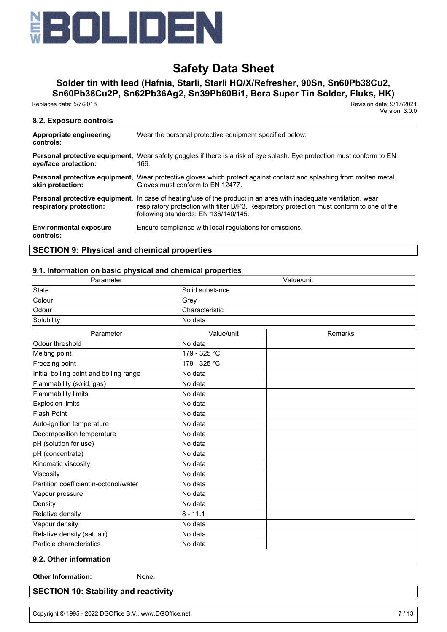

# **Solder tin with lead (Hafnia, Starli, Starli HQ/X/Refresher, 90Sn, Sn60Pb38Cu2,**

**Sn60Pb38Cu2P, Sn62Pb36Ag2, Sn39Pb60Bi1, Bera Super Tin Solder, Fluks, HK)**

Replaces date: 5/7/2018 Revision date: 9/17/2021

Version: 3.0.0

| 8.2. Exposure controls                     |                                                                                                                                                                                                                                                                |
|--------------------------------------------|----------------------------------------------------------------------------------------------------------------------------------------------------------------------------------------------------------------------------------------------------------------|
| Appropriate engineering<br>controls:       | Wear the personal protective equipment specified below.                                                                                                                                                                                                        |
| eye/face protection:                       | Personal protective equipment, Wear safety goggles if there is a risk of eye splash. Eye protection must conform to EN<br>166.                                                                                                                                 |
| skin protection:                           | <b>Personal protective equipment.</b> Wear protective gloves which protect against contact and splashing from molten metal.<br>Gloves must conform to FN 12477.                                                                                                |
| respiratory protection:                    | <b>Personal protective equipment,</b> In case of heating/use of the product in an area with inadequate ventilation, wear<br>respiratory protection with filter B/P3. Respiratory protection must conform to one of the<br>following standards: EN 136/140/145. |
| <b>Environmental exposure</b><br>controls: | Ensure compliance with local regulations for emissions.                                                                                                                                                                                                        |

## **SECTION 9: Physical and chemical properties**

#### **9.1. Information on basic physical and chemical properties**

| Parameter                               | Value/unit      |         |  |  |
|-----------------------------------------|-----------------|---------|--|--|
| <b>State</b>                            | Solid substance |         |  |  |
| Colour                                  | Grey            |         |  |  |
| Odour                                   | Characteristic  |         |  |  |
| Solubility                              | No data         |         |  |  |
| Parameter                               | Value/unit      | Remarks |  |  |
| Odour threshold                         | No data         |         |  |  |
| Melting point                           | 179 - 325 °C    |         |  |  |
| Freezing point                          | 179 - 325 °C    |         |  |  |
| Initial boiling point and boiling range | No data         |         |  |  |
| Flammability (solid, gas)               | No data         |         |  |  |
| Flammability limits                     | No data         |         |  |  |
| <b>Explosion limits</b>                 | No data         |         |  |  |
| <b>Flash Point</b>                      | No data         |         |  |  |
| Auto-ignition temperature               | No data         |         |  |  |
| Decomposition temperature               | No data         |         |  |  |
| pH (solution for use)                   | No data         |         |  |  |
| pH (concentrate)                        | No data         |         |  |  |
| Kinematic viscosity                     | No data         |         |  |  |
| Viscosity                               | No data         |         |  |  |
| Partition coefficient n-octonol/water   | No data         |         |  |  |
| Vapour pressure                         | No data         |         |  |  |
| Density                                 | No data         |         |  |  |
| Relative density                        | $8 - 11.1$      |         |  |  |
| Vapour density                          | No data         |         |  |  |
| Relative density (sat. air)             | No data         |         |  |  |
| Particle characteristics                | No data         |         |  |  |

## **9.2. Other information**

**Other Information:** None.

## **SECTION 10: Stability and reactivity**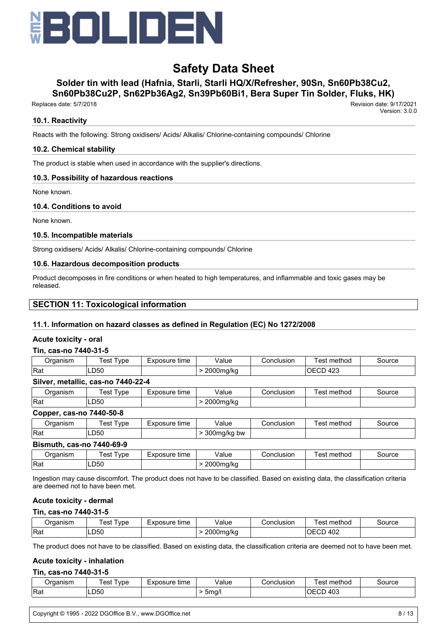

# **Solder tin with lead (Hafnia, Starli, Starli HQ/X/Refresher, 90Sn, Sn60Pb38Cu2,**

**Sn60Pb38Cu2P, Sn62Pb36Ag2, Sn39Pb60Bi1, Bera Super Tin Solder, Fluks, HK)**

 Replaces date: 5/7/2018 Revision date: 9/17/2021 Version: 3.0.0

### **10.1. Reactivity**

Reacts with the following: Strong oxidisers/ Acids/ Alkalis/ Chlorine-containing compounds/ Chlorine

### **10.2. Chemical stability**

The product is stable when used in accordance with the supplier's directions.

### **10.3. Possibility of hazardous reactions**

None known.

#### **10.4. Conditions to avoid**

None known.

#### **10.5. Incompatible materials**

Strong oxidisers/ Acids/ Alkalis/ Chlorine-containing compounds/ Chlorine

#### **10.6. Hazardous decomposition products**

Product decomposes in fire conditions or when heated to high temperatures, and inflammable and toxic gases may be released.

### **SECTION 11: Toxicological information**

### **11.1. Information on hazard classes as defined in Regulation (EC) No 1272/2008**

#### **Acute toxicity - oral**

#### **Tin, cas-no 7440-31-5**

| Organism                           | Test Type                        | Exposure time | Value<br>Conclusion |            | Test method | Source |  |  |  |  |  |
|------------------------------------|----------------------------------|---------------|---------------------|------------|-------------|--------|--|--|--|--|--|
| ∣Rat                               | LD50<br>IOECD 423<br>> 2000mg/kg |               |                     |            |             |        |  |  |  |  |  |
| Silver, metallic, cas-no 7440-22-4 |                                  |               |                     |            |             |        |  |  |  |  |  |
| Organism                           | Test Type                        | Exposure time | Value               | Conclusion | Test method | Source |  |  |  |  |  |
| ∣Rat                               | D50-                             |               | > 2000 mg/kg        |            |             |        |  |  |  |  |  |

#### **Copper, cas-no 7440-50-8**

| ragniem<br>וופוו | vpe<br>es | nosure<br>time | √alue<br>.         | usior<br>Jonch | method<br>$\alpha$<br>ື | iource |
|------------------|-----------|----------------|--------------------|----------------|-------------------------|--------|
| Rat              | ∟D50      |                | nnn<br>300mg/kg bw |                |                         |        |

#### **Bismuth, cas-no 7440-69-9**

| est<br>vpe<br>Organism |      | time<br>Exposure | Value              | Conclusion | ∶method<br>! est | Source |
|------------------------|------|------------------|--------------------|------------|------------------|--------|
| <sup>≀</sup> Raเ       | LD50 |                  | 0.000<br>2000ma/ka |            |                  |        |

Ingestion may cause discomfort. The product does not have to be classified. Based on existing data, the classification criteria are deemed not to have been met.

#### **Acute toxicity - dermal**

#### **Tin, cas-no 7440-31-5**

| Jraanism | vpe<br>est | Exposure time | Value             | Conclusion | method<br>⊺est  | ourceذ |
|----------|------------|---------------|-------------------|------------|-----------------|--------|
| Rat      | ∟D50       |               | 2000ma<br>na/ka - |            | 402<br>OЕ<br>◡◡ |        |

The product does not have to be classified. Based on existing data, the classification criteria are deemed not to have been met.

#### **Acute toxicity - inhalation**

#### **Tin, cas-no 7440-31-5**

| ≀rɑanısm | es<br>ype | posure<br>time<br>-vr<br>–^* | Value | Conclusion | method<br>' est | Source |
|----------|-----------|------------------------------|-------|------------|-----------------|--------|
| Rat      | ∟D50      |                              | 5ma/' | 403<br>◡   |                 |        |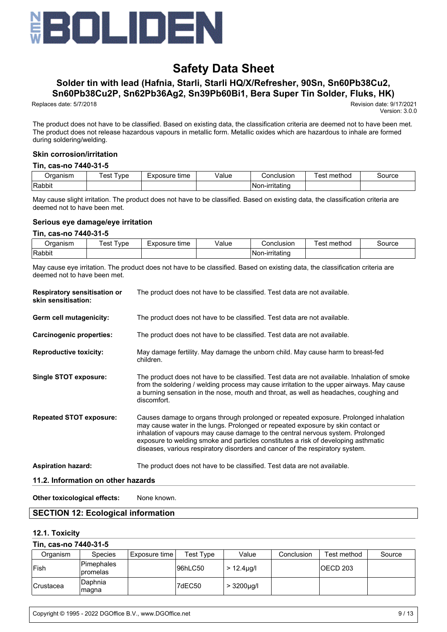

# **Solder tin with lead (Hafnia, Starli, Starli HQ/X/Refresher, 90Sn, Sn60Pb38Cu2,**

**Sn60Pb38Cu2P, Sn62Pb36Ag2, Sn39Pb60Bi1, Bera Super Tin Solder, Fluks, HK)**

Replaces date: 5/7/2018 Revision date: 9/17/2021

Version: 3.0.0

The product does not have to be classified. Based on existing data, the classification criteria are deemed not to have been met. The product does not release hazardous vapours in metallic form. Metallic oxides which are hazardous to inhale are formed during soldering/welding.

#### **Skin corrosion/irritation**

#### **Tin, cas-no 7440-31-5**

| P<br>rdanish<br>$\sim$ $\sim$ | vpe<br>es | osure<br>time<br>$-V^r$<br>–⊼L | alue/<br>. | Conclusion                 | <br>method<br>est | source |
|-------------------------------|-----------|--------------------------------|------------|----------------------------|-------------------|--------|
| Rabbit                        |           |                                |            | rritatino<br>INor<br>יזו-ה |                   |        |

May cause slight irritation. The product does not have to be classified. Based on existing data, the classification criteria are deemed not to have been met.

#### **Serious eye damage/eye irritation**

#### **Tin, cas-no 7440-31-5**

| P<br>ruanish | vpe<br>est | Exposure<br>time | $\cdot$<br>alue/<br>. | Conclusion        | method<br>est | source |
|--------------|------------|------------------|-----------------------|-------------------|---------------|--------|
| Rabbit       |            |                  |                       | .rıtatınc<br>∣N∩r |               |        |

May cause eye irritation. The product does not have to be classified. Based on existing data, the classification criteria are deemed not to have been met.

| <b>Respiratory sensitisation or</b><br>skin sensitisation: | The product does not have to be classified. Test data are not available.                                                                                                                                                                                                                                                                                                                                                          |
|------------------------------------------------------------|-----------------------------------------------------------------------------------------------------------------------------------------------------------------------------------------------------------------------------------------------------------------------------------------------------------------------------------------------------------------------------------------------------------------------------------|
| Germ cell mutagenicity:                                    | The product does not have to be classified. Test data are not available.                                                                                                                                                                                                                                                                                                                                                          |
| <b>Carcinogenic properties:</b>                            | The product does not have to be classified. Test data are not available.                                                                                                                                                                                                                                                                                                                                                          |
| <b>Reproductive toxicity:</b>                              | May damage fertility. May damage the unborn child. May cause harm to breast-fed<br>children.                                                                                                                                                                                                                                                                                                                                      |
| <b>Single STOT exposure:</b>                               | The product does not have to be classified. Test data are not available. Inhalation of smoke<br>from the soldering / welding process may cause irritation to the upper airways. May cause<br>a burning sensation in the nose, mouth and throat, as well as headaches, coughing and<br>discomfort.                                                                                                                                 |
| <b>Repeated STOT exposure:</b>                             | Causes damage to organs through prolonged or repeated exposure. Prolonged inhalation<br>may cause water in the lungs. Prolonged or repeated exposure by skin contact or<br>inhalation of vapours may cause damage to the central nervous system. Prolonged<br>exposure to welding smoke and particles constitutes a risk of developing asthmatic<br>diseases, various respiratory disorders and cancer of the respiratory system. |
| <b>Aspiration hazard:</b>                                  | The product does not have to be classified. Test data are not available.                                                                                                                                                                                                                                                                                                                                                          |
| 11.2. Information on other hazards                         |                                                                                                                                                                                                                                                                                                                                                                                                                                   |
| Other toxicological effects:                               | None known.                                                                                                                                                                                                                                                                                                                                                                                                                       |

### **SECTION 12: Ecological information**

#### **12.1. Toxicity**

### **Tin, cas-no 7440-31-5**

| Organism         | Species                 | Exposure time | Test Type | Value            | Conclusion | Test method | Source |
|------------------|-------------------------|---------------|-----------|------------------|------------|-------------|--------|
| !Fish            | Pimephales<br>Ipromelas |               | 96hLC50   | $> 12.4 \mu$ g/l |            | IOECD 203   |        |
| <b>Crustacea</b> | Daphnia<br> magna       |               | 7dEC50    | $> 3200 \mu g/l$ |            |             |        |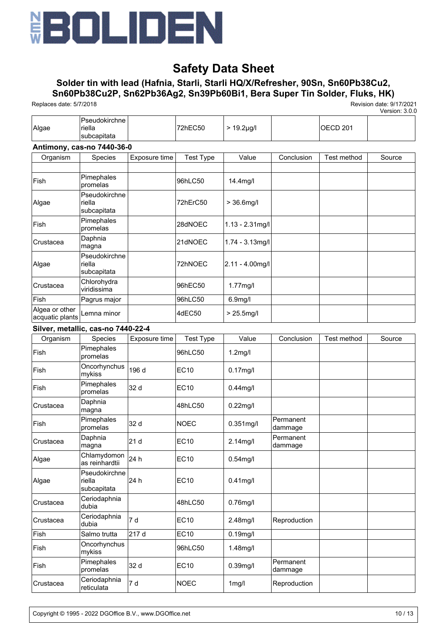

## **Solder tin with lead (Hafnia, Starli, Starli HQ/X/Refresher, 90Sn, Sn60Pb38Cu2, Sn60Pb38Cu2P, Sn62Pb36Ag2, Sn39Pb60Bi1, Bera Super Tin Solder, Fluks, HK)**

Replaces date: 5/7/2018 Revision date: 9/17/2021

|                                   |                                        |                 |                  |                      |                      |                     | Version: 3.0.0 |
|-----------------------------------|----------------------------------------|-----------------|------------------|----------------------|----------------------|---------------------|----------------|
| Algae                             | Pseudokirchne<br>riella<br>subcapitata |                 | 72hEC50          | $> 19.2 \mu g/l$     |                      | OECD <sub>201</sub> |                |
|                                   | Antimony, cas-no 7440-36-0             |                 |                  |                      |                      |                     |                |
| Organism                          | Species                                | Exposure time   | <b>Test Type</b> | Value                | Conclusion           | Test method         | Source         |
|                                   |                                        |                 |                  |                      |                      |                     |                |
| Fish                              | Pimephales<br>promelas                 |                 | 96hLC50          | 14.4mg/l             |                      |                     |                |
| Algae                             | Pseudokirchne<br>riella<br>subcapitata |                 | 72hErC50         | $> 36.6$ mg/l        |                      |                     |                |
| Fish                              | Pimephales<br>promelas                 |                 | 28dNOEC          | $1.13 - 2.31$ mg/l   |                      |                     |                |
| Crustacea                         | Daphnia<br>magna                       |                 | 21dNOEC          | 1.74 - 3.13mg/l      |                      |                     |                |
| Algae                             | Pseudokirchne<br>riella<br>subcapitata |                 | 72hNOEC          | $2.11 - 4.00$ mg/l   |                      |                     |                |
| Crustacea                         | Chlorohydra<br>viridissima             |                 | 96hEC50          | 1.77mg/l             |                      |                     |                |
| Fish                              | Pagrus major                           |                 | 96hLC50          | 6.9 <sub>mg</sub> /l |                      |                     |                |
| Algea or other<br>acquatic plants | Lemna minor                            |                 | 4dEC50           | $> 25.5$ mg/l        |                      |                     |                |
|                                   | Silver, metallic, cas-no 7440-22-4     |                 |                  |                      |                      |                     |                |
| Organism                          | Species                                | Exposure time   | <b>Test Type</b> | Value                | Conclusion           | Test method         | Source         |
| Fish                              | Pimephales<br>promelas                 |                 | 96hLC50          | $1.2$ mg/l           |                      |                     |                |
| Fish                              | Oncorhynchus<br>mykiss                 | 196 d           | <b>EC10</b>      | $0.17$ mg/l          |                      |                     |                |
| Fish                              | Pimephales<br>promelas                 | 32 d            | <b>EC10</b>      | $0.44$ mg/l          |                      |                     |                |
| Crustacea                         | Daphnia<br>magna                       |                 | 48hLC50          | $0.22$ mg/l          |                      |                     |                |
| Fish                              | Pimephales<br>promelas                 | 32 d            | <b>NOEC</b>      | $0.351$ mg/l         | Permanent<br>dammage |                     |                |
| Crustacea                         | Daphnia<br>magna                       | 21 <sub>d</sub> | EC10             | 2.14mg/l             | Permanent<br>dammage |                     |                |
| Algae                             | Chlamydomon<br>as reinhardtii          | 24 h            | <b>EC10</b>      | $0.54$ mg/l          |                      |                     |                |
| Algae                             | Pseudokirchne<br>riella<br>subcapitata | 24 h            | <b>EC10</b>      | $0.41$ mg/l          |                      |                     |                |
| Crustacea                         | Ceriodaphnia<br>dubia                  |                 | 48hLC50          | $0.76$ mg/l          |                      |                     |                |
| Crustacea                         | Ceriodaphnia<br>dubia                  | 7 d             | <b>EC10</b>      | 2.48mg/l             | Reproduction         |                     |                |
| Fish                              | Salmo trutta                           | 217 d           | <b>EC10</b>      | $0.19$ mg/l          |                      |                     |                |
| Fish                              | Oncorhynchus<br>mykiss                 |                 | 96hLC50          | 1.48mg/l             |                      |                     |                |
| Fish                              | Pimephales<br>promelas                 | 32 d            | <b>EC10</b>      | $0.39$ mg/l          | Permanent<br>dammage |                     |                |
| Crustacea                         | Ceriodaphnia<br>reticulata             | 7 d             | <b>NOEC</b>      | $1$ mg/l             | Reproduction         |                     |                |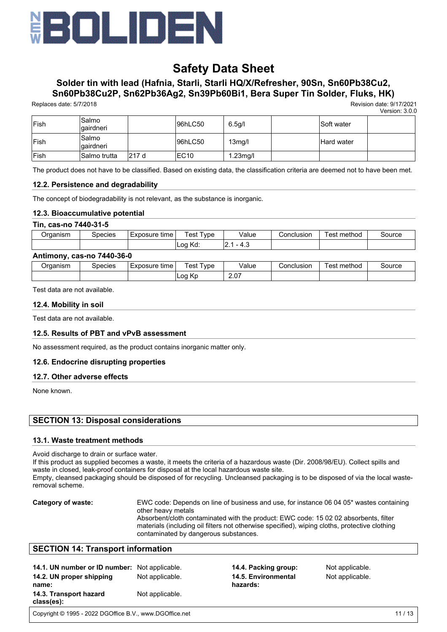

## **Solder tin with lead (Hafnia, Starli, Starli HQ/X/Refresher, 90Sn, Sn60Pb38Cu2, Sn60Pb38Cu2P, Sn62Pb36Ag2, Sn39Pb60Bi1, Bera Super Tin Solder, Fluks, HK)**

Replaces date: 5/7/2018 Revision date: 9/17/2021

Version: 3.0.0

| <b>Fish</b> | Salmo<br> qairdneri |        | 96hLC50          | 6.5g/l              | <b>Soft water</b> |  |
|-------------|---------------------|--------|------------------|---------------------|-------------------|--|
| Fish        | Salmo<br> qairdneri |        | 96hLC50          | 13 <sub>mg</sub> /l | <b>Hard water</b> |  |
| <b>Fish</b> | ISalmo trutta       | 1217 d | EC <sub>10</sub> | $1.23$ mg/l         |                   |  |

The product does not have to be classified. Based on existing data, the classification criteria are deemed not to have been met.

#### **12.2. Persistence and degradability**

The concept of biodegradability is not relevant, as the substance is inorganic.

#### **12.3. Bioaccumulative potential**

#### **Tin, cas-no 7440-31-5**

| Organism | Species | Exposure<br>time | vpe<br>'est | Value | Conclusionٽ | $\cdot$ .<br>method<br>est | Source |
|----------|---------|------------------|-------------|-------|-------------|----------------------------|--------|
|          |         |                  | Loa<br>Kd:  | 7. -  |             |                            |        |

#### **Antimony, cas-no 7440-36-0**

| <b>Draanism</b> | Species | tıme<br>Exposure | 'est<br>vpe <sup>'</sup>  | Value      | Conclusion | ∵method<br>'est | ⊰ource |
|-----------------|---------|------------------|---------------------------|------------|------------|-----------------|--------|
|                 |         |                  | Loq<br>$\mathbf{z}$<br>rν | 2.07<br>__ |            |                 |        |

Test data are not available.

#### **12.4. Mobility in soil**

Test data are not available.

#### **12.5. Results of PBT and vPvB assessment**

No assessment required, as the product contains inorganic matter only.

#### **12.6. Endocrine disrupting properties**

#### **12.7. Other adverse effects**

None known.

### **SECTION 13: Disposal considerations**

#### **13.1. Waste treatment methods**

Avoid discharge to drain or surface water.

If this product as supplied becomes a waste, it meets the criteria of a hazardous waste (Dir. 2008/98/EU). Collect spills and waste in closed, leak-proof containers for disposal at the local hazardous waste site.

Empty, cleansed packaging should be disposed of for recycling. Uncleansed packaging is to be disposed of via the local wasteremoval scheme.

**Category of waste:** EWC code: Depends on line of business and use, for instance 06 04 05\* wastes containing other heavy metals Absorbent/cloth contaminated with the product: EWC code: 15 02 02 absorbents, filter materials (including oil filters not otherwise specified), wiping cloths, protective clothing contaminated by dangerous substances.

### **SECTION 14: Transport information**

| 14.1. UN number or ID number: Not applicable.<br>14.2. UN proper shipping<br>name: | Not applicable. | 14.4. Packing group:<br>14.5. Environmental<br>hazards: | Not applicable.<br>Not applicable. |
|------------------------------------------------------------------------------------|-----------------|---------------------------------------------------------|------------------------------------|
| 14.3. Transport hazard<br>class(es):                                               | Not applicable. |                                                         |                                    |

Copyright © 1995 - 2022 DGOffice B.V., www.DGOffice.net 11 / 13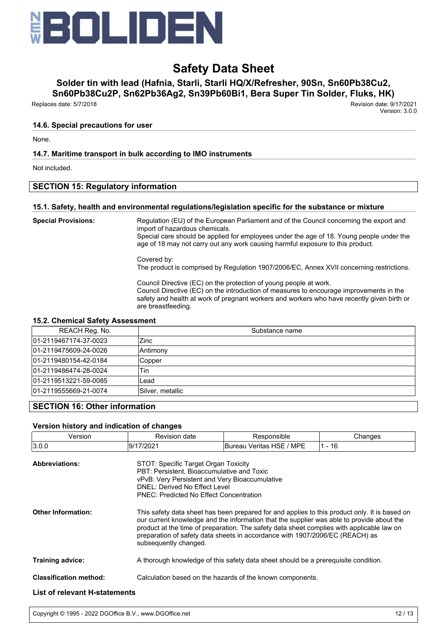

# **Solder tin with lead (Hafnia, Starli, Starli HQ/X/Refresher, 90Sn, Sn60Pb38Cu2,**

**Sn60Pb38Cu2P, Sn62Pb36Ag2, Sn39Pb60Bi1, Bera Super Tin Solder, Fluks, HK)**

Replaces date: 5/7/2018 Revision date: 9/17/2021

Version: 3.0.0

#### **14.6. Special precautions for user**

None.

### **14.7. Maritime transport in bulk according to IMO instruments**

Not included.

### **SECTION 15: Regulatory information**

#### **15.1. Safety, health and environmental regulations/legislation specific for the substance or mixture**

**Special Provisions:** Regulation (EU) of the European Parliament and of the Council concerning the export and import of hazardous chemicals. Special care should be applied for employees under the age of 18. Young people under the age of 18 may not carry out any work causing harmful exposure to this product.

> Covered by: The product is comprised by Regulation 1907/2006/EC, Annex XVII concerning restrictions.

> Council Directive (EC) on the protection of young people at work. Council Directive (EC) on the introduction of measures to encourage improvements in the safety and health at work of pregnant workers and workers who have recently given birth or are breastfeeding.

#### **15.2. Chemical Safety Assessment**

| REACH Reg. No.        | Substance name   |
|-----------------------|------------------|
| 01-2119467174-37-0023 | Zinc             |
| 01-2119475609-24-0026 | Antimony         |
| 01-2119480154-42-0184 | Copper           |
| 01-2119486474-28-0024 | Tin              |
| 01-2119513221-59-0085 | ∟ead             |
| 01-2119555669-21-0074 | Silver, metallic |

## **SECTION 16: Other information**

#### **Version history and indication of changes**

| Version                              | Revision date                                                                                                                                                                                                                                                                                                                                                                                    | Responsible                                               | Changes  |  |
|--------------------------------------|--------------------------------------------------------------------------------------------------------------------------------------------------------------------------------------------------------------------------------------------------------------------------------------------------------------------------------------------------------------------------------------------------|-----------------------------------------------------------|----------|--|
| 3.0.0                                | 9/17/2021                                                                                                                                                                                                                                                                                                                                                                                        | Bureau Veritas HSE / MPE                                  | $1 - 16$ |  |
| <b>Abbreviations:</b>                | STOT: Specific Target Organ Toxicity<br>PBT: Persistent, Bioaccumulative and Toxic<br>vPvB: Very Persistent and Very Bioaccumulative<br>DNEL: Derived No Effect Level<br><b>PNEC: Predicted No Effect Concentration</b>                                                                                                                                                                          |                                                           |          |  |
| <b>Other Information:</b>            | This safety data sheet has been prepared for and applies to this product only. It is based on<br>our current knowledge and the information that the supplier was able to provide about the<br>product at the time of preparation. The safety data sheet complies with applicable law on<br>preparation of safety data sheets in accordance with 1907/2006/EC (REACH) as<br>subsequently changed. |                                                           |          |  |
| <b>Training advice:</b>              | A thorough knowledge of this safety data sheet should be a prerequisite condition.                                                                                                                                                                                                                                                                                                               |                                                           |          |  |
| <b>Classification method:</b>        |                                                                                                                                                                                                                                                                                                                                                                                                  | Calculation based on the hazards of the known components. |          |  |
| <b>List of relevant H-statements</b> |                                                                                                                                                                                                                                                                                                                                                                                                  |                                                           |          |  |

Copyright © 1995 - 2022 DGOffice B.V., www.DGOffice.net 12 / 13